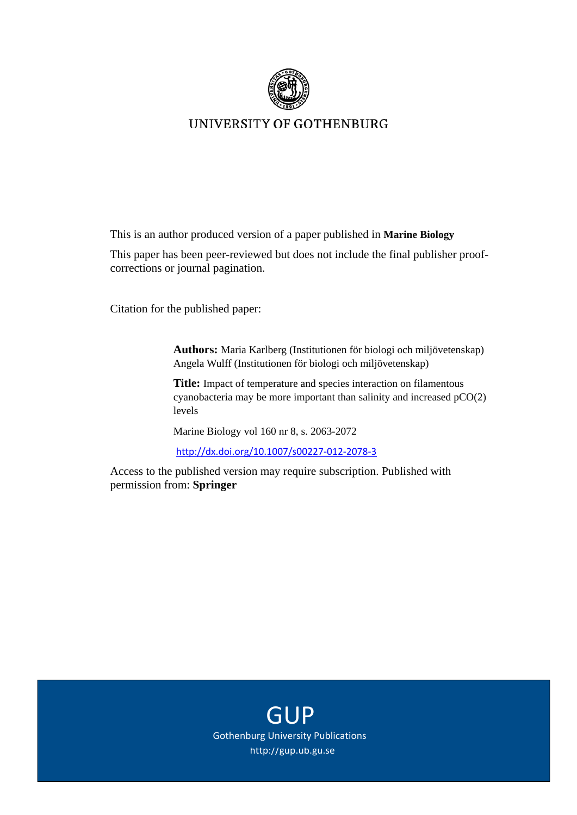

# UNIVERSITY OF GOTHENBURG

This is an author produced version of a paper published in **Marine Biology**

This paper has been peer-reviewed but does not include the final publisher proofcorrections or journal pagination.

Citation for the published paper:

**Authors:** Maria Karlberg (Institutionen för biologi och miljövetenskap) Angela Wulff (Institutionen för biologi och miljövetenskap)

**Title:** Impact of temperature and species interaction on filamentous cyanobacteria may be more important than salinity and increased pCO(2) levels

Marine Biology vol 160 nr 8, s. 2063-2072

http://dx.doi.org/10.1007/s00227‐012‐2078‐3

Access to the published version may require subscription. Published with permission from: **Springer**

> **GUP** http://gup.ub.gu.se Gothenburg University Publications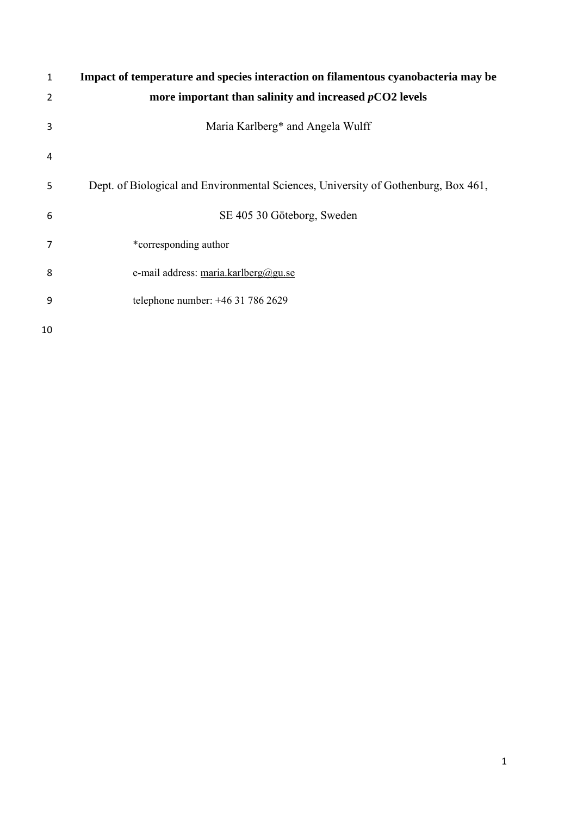| 1              | Impact of temperature and species interaction on filamentous cyanobacteria may be  |
|----------------|------------------------------------------------------------------------------------|
| 2              | more important than salinity and increased $pCO2$ levels                           |
| 3              | Maria Karlberg* and Angela Wulff                                                   |
| $\overline{4}$ |                                                                                    |
| 5              | Dept. of Biological and Environmental Sciences, University of Gothenburg, Box 461, |
| 6              | SE 405 30 Göteborg, Sweden                                                         |
| 7              | *corresponding author                                                              |
| 8              | e-mail address: maria.karlberg@gu.se                                               |
| 9              | telephone number: +46 31 786 2629                                                  |
| 10             |                                                                                    |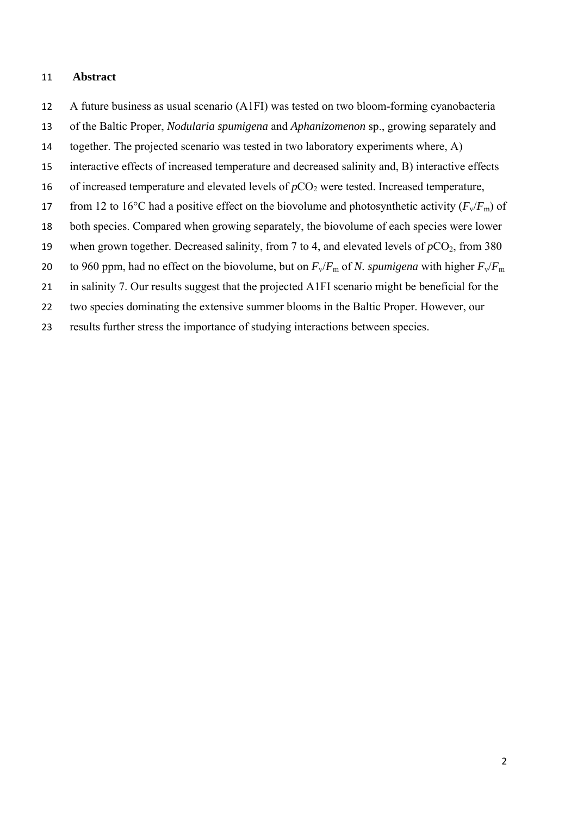#### **Abstract**

- A future business as usual scenario (A1FI) was tested on two bloom-forming cyanobacteria
- of the Baltic Proper, *Nodularia spumigena* and *Aphanizomenon* sp., growing separately and
- together. The projected scenario was tested in two laboratory experiments where, A)
- interactive effects of increased temperature and decreased salinity and, B) interactive effects
- 16 of increased temperature and elevated levels of  $pCO<sub>2</sub>$  were tested. Increased temperature,
- 17 from 12 to 16<sup>o</sup>C had a positive effect on the biovolume and photosynthetic activity ( $F_v/F_m$ ) of
- both species. Compared when growing separately, the biovolume of each species were lower
- 19 when grown together. Decreased salinity, from 7 to 4, and elevated levels of  $pCO_2$ , from 380
- 20 to 960 ppm, had no effect on the biovolume, but on  $F_v/F_m$  of *N. spumigena* with higher  $F_v/F_m$
- in salinity 7. Our results suggest that the projected A1FI scenario might be beneficial for the
- two species dominating the extensive summer blooms in the Baltic Proper. However, our
- results further stress the importance of studying interactions between species.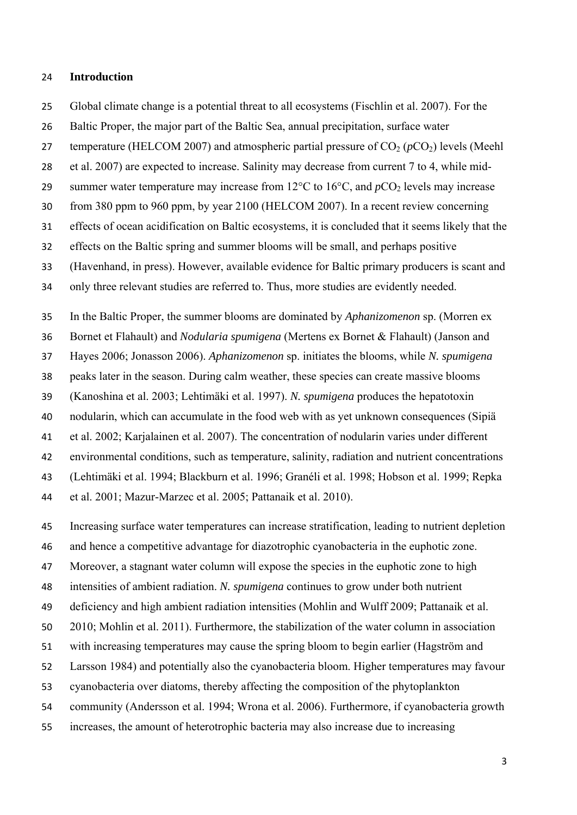#### **Introduction**

Global climate change is a potential threat to all ecosystems (Fischlin et al. 2007). For the

Baltic Proper, the major part of the Baltic Sea, annual precipitation, surface water

27 temperature (HELCOM 2007) and atmospheric partial pressure of  $CO<sub>2</sub>$  ( $pCO<sub>2</sub>$ ) levels (Meehl

et al. 2007) are expected to increase. Salinity may decrease from current 7 to 4, while mid-

29 summer water temperature may increase from  $12^{\circ}$ C to  $16^{\circ}$ C, and  $pCO_2$  levels may increase

from 380 ppm to 960 ppm, by year 2100 (HELCOM 2007). In a recent review concerning

effects of ocean acidification on Baltic ecosystems, it is concluded that it seems likely that the

effects on the Baltic spring and summer blooms will be small, and perhaps positive

(Havenhand, in press). However, available evidence for Baltic primary producers is scant and

only three relevant studies are referred to. Thus, more studies are evidently needed.

 In the Baltic Proper, the summer blooms are dominated by *Aphanizomenon* sp. (Morren ex Bornet et Flahault) and *Nodularia spumigena* (Mertens ex Bornet & Flahault) (Janson and Hayes 2006; Jonasson 2006). *Aphanizomenon* sp. initiates the blooms, while *N. spumigena* peaks later in the season. During calm weather, these species can create massive blooms (Kanoshina et al. 2003; Lehtimäki et al. 1997). *N. spumigena* produces the hepatotoxin nodularin, which can accumulate in the food web with as yet unknown consequences (Sipiä et al. 2002; Karjalainen et al. 2007). The concentration of nodularin varies under different environmental conditions, such as temperature, salinity, radiation and nutrient concentrations (Lehtimäki et al. 1994; Blackburn et al. 1996; Granéli et al. 1998; Hobson et al. 1999; Repka et al. 2001; Mazur-Marzec et al. 2005; Pattanaik et al. 2010).

 Increasing surface water temperatures can increase stratification, leading to nutrient depletion and hence a competitive advantage for diazotrophic cyanobacteria in the euphotic zone. Moreover, a stagnant water column will expose the species in the euphotic zone to high intensities of ambient radiation. *N. spumigena* continues to grow under both nutrient deficiency and high ambient radiation intensities (Mohlin and Wulff 2009; Pattanaik et al. 2010; Mohlin et al. 2011). Furthermore, the stabilization of the water column in association with increasing temperatures may cause the spring bloom to begin earlier (Hagström and Larsson 1984) and potentially also the cyanobacteria bloom. Higher temperatures may favour cyanobacteria over diatoms, thereby affecting the composition of the phytoplankton community (Andersson et al. 1994; Wrona et al. 2006). Furthermore, if cyanobacteria growth increases, the amount of heterotrophic bacteria may also increase due to increasing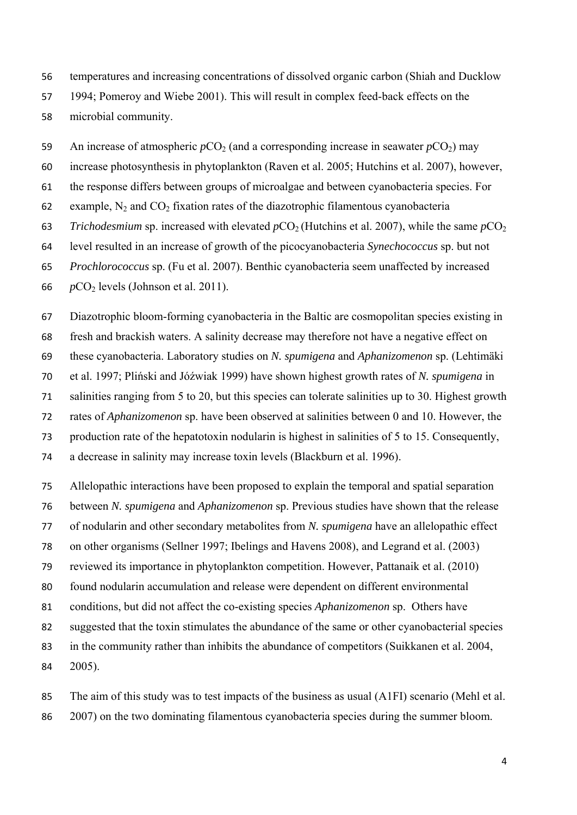temperatures and increasing concentrations of dissolved organic carbon (Shiah and Ducklow 1994; Pomeroy and Wiebe 2001). This will result in complex feed-back effects on the

microbial community.

59 An increase of atmospheric  $pCO<sub>2</sub>$  (and a corresponding increase in seawater  $pCO<sub>2</sub>$ ) may

increase photosynthesis in phytoplankton (Raven et al. 2005; Hutchins et al. 2007), however,

the response differs between groups of microalgae and between cyanobacteria species. For

62 example,  $N_2$  and  $CO_2$  fixation rates of the diazotrophic filamentous cyanobacteria

63 *Trichodesmium* sp. increased with elevated  $pCO_2$  (Hutchins et al. 2007), while the same  $pCO_2$ 

level resulted in an increase of growth of the picocyanobacteria *Synechococcus* sp. but not

*Prochlorococcus* sp. (Fu et al. 2007). Benthic cyanobacteria seem unaffected by increased

66  $pCO<sub>2</sub>$  levels (Johnson et al. 2011).

Diazotrophic bloom-forming cyanobacteria in the Baltic are cosmopolitan species existing in

fresh and brackish waters. A salinity decrease may therefore not have a negative effect on

these cyanobacteria. Laboratory studies on *N. spumigena* and *Aphanizomenon* sp. (Lehtimäki

et al. 1997; Pliński and Jόźwiak 1999) have shown highest growth rates of *N. spumigena* in

salinities ranging from 5 to 20, but this species can tolerate salinities up to 30. Highest growth

rates of *Aphanizomenon* sp. have been observed at salinities between 0 and 10. However, the

production rate of the hepatotoxin nodularin is highest in salinities of 5 to 15. Consequently,

a decrease in salinity may increase toxin levels (Blackburn et al. 1996).

 Allelopathic interactions have been proposed to explain the temporal and spatial separation between *N. spumigena* and *Aphanizomenon* sp. Previous studies have shown that the release of nodularin and other secondary metabolites from *N. spumigena* have an allelopathic effect on other organisms (Sellner 1997; Ibelings and Havens 2008), and Legrand et al. (2003) reviewed its importance in phytoplankton competition. However, Pattanaik et al. (2010) found nodularin accumulation and release were dependent on different environmental conditions, but did not affect the co-existing species *Aphanizomenon* sp. Others have suggested that the toxin stimulates the abundance of the same or other cyanobacterial species in the community rather than inhibits the abundance of competitors (Suikkanen et al. 2004, 2005).

 The aim of this study was to test impacts of the business as usual (A1FI) scenario (Mehl et al. 2007) on the two dominating filamentous cyanobacteria species during the summer bloom.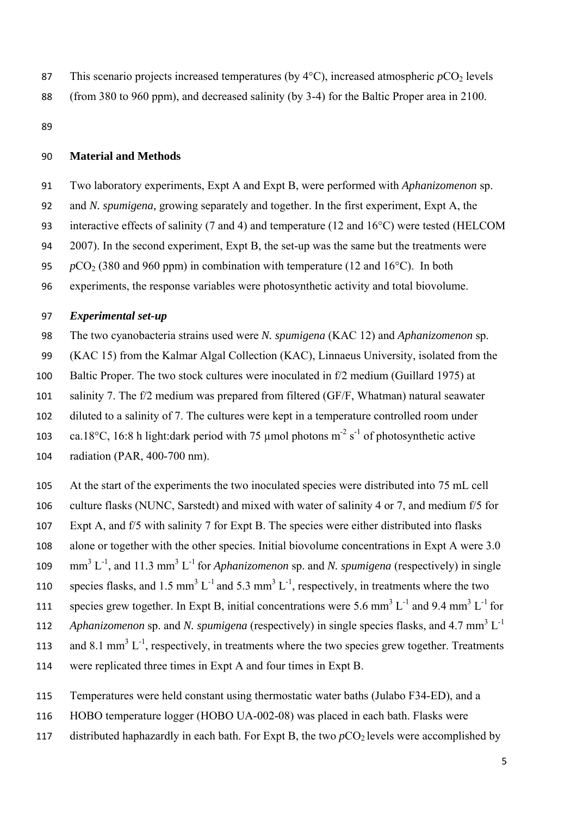- 87 This scenario projects increased temperatures (by  $4^{\circ}$ C), increased atmospheric  $pCO_2$  levels
- (from 380 to 960 ppm), and decreased salinity (by 3-4) for the Baltic Proper area in 2100.

## **Material and Methods**

- Two laboratory experiments, Expt A and Expt B, were performed with *Aphanizomenon* sp.
- and *N. spumigena,* growing separately and together. In the first experiment, Expt A, the
- interactive effects of salinity (7 and 4) and temperature (12 and 16°C) were tested (HELCOM
- 2007). In the second experiment, Expt B, the set-up was the same but the treatments were
- 95 *pCO*<sub>2</sub> (380 and 960 ppm) in combination with temperature (12 and 16<sup>o</sup>C). In both
- experiments, the response variables were photosynthetic activity and total biovolume.

### *Experimental set-up*

- The two cyanobacteria strains used were *N. spumigena* (KAC 12) and *Aphanizomenon* sp.
- (KAC 15) from the Kalmar Algal Collection (KAC), Linnaeus University, isolated from the
- Baltic Proper. The two stock cultures were inoculated in f/2 medium (Guillard 1975) at
- salinity 7. The f/2 medium was prepared from filtered (GF/F, Whatman) natural seawater
- diluted to a salinity of 7. The cultures were kept in a temperature controlled room under
- 103 ca.18°C, 16:8 h light:dark period with 75 µmol photons  $m<sup>-2</sup> s<sup>-1</sup>$  of photosynthetic active
- radiation (PAR, 400-700 nm).
- At the start of the experiments the two inoculated species were distributed into 75 mL cell
- culture flasks (NUNC, Sarstedt) and mixed with water of salinity 4 or 7, and medium f/5 for
- Expt A, and f/5 with salinity 7 for Expt B. The species were either distributed into flasks
- alone or together with the other species. Initial biovolume concentrations in Expt A were 3.0
- 109 mm<sup>3</sup> L<sup>-1</sup>, and 11.3 mm<sup>3</sup> L<sup>-1</sup> for *Aphanizomenon* sp. and *N. spumigena* (respectively) in single
- 110 species flasks, and 1.5 mm<sup>3</sup> L<sup>-1</sup> and 5.3 mm<sup>3</sup> L<sup>-1</sup>, respectively, in treatments where the two
- 111 species grew together. In Expt B, initial concentrations were 5.6 mm<sup>3</sup> L<sup>-1</sup> and 9.4 mm<sup>3</sup> L<sup>-1</sup> for
- 112 *Aphanizomenon* sp. and *N. spumigena* (respectively) in single species flasks, and 4.7 mm<sup>3</sup> L<sup>-1</sup>
- 113 and 8.1 mm<sup>3</sup> L<sup>-1</sup>, respectively, in treatments where the two species grew together. Treatments
- were replicated three times in Expt A and four times in Expt B.
- Temperatures were held constant using thermostatic water baths (Julabo F34-ED), and a
- HOBO temperature logger (HOBO UA-002-08) was placed in each bath. Flasks were
- 117 distributed haphazardly in each bath. For Expt B, the two  $pCO<sub>2</sub>$  levels were accomplished by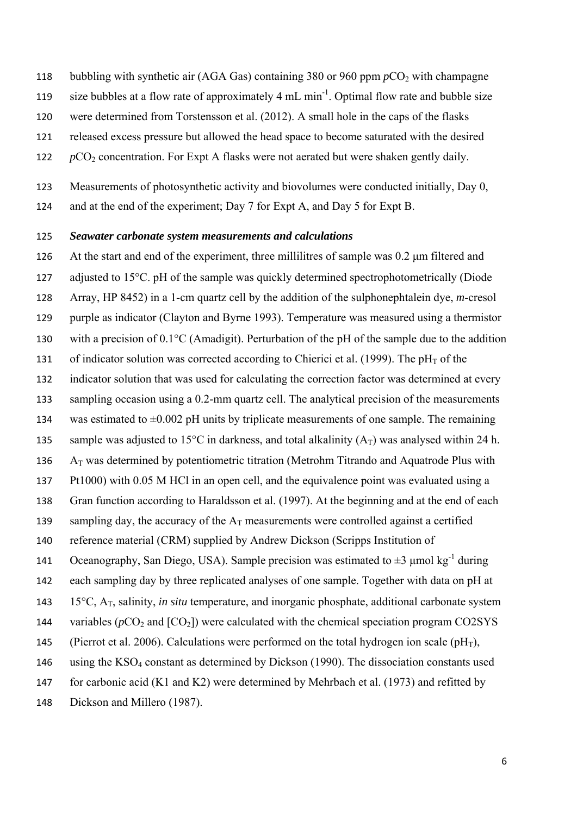- 118 bubbling with synthetic air (AGA Gas) containing 380 or 960 ppm  $pCO<sub>2</sub>$  with champagne
- 119 size bubbles at a flow rate of approximately 4 mL min<sup>-1</sup>. Optimal flow rate and bubble size
- 120 were determined from Torstensson et al. (2012). A small hole in the caps of the flasks
- 121 released excess pressure but allowed the head space to become saturated with the desired
- 122  $pCO_2$  concentration. For Expt A flasks were not aerated but were shaken gently daily.

123 Measurements of photosynthetic activity and biovolumes were conducted initially, Day 0,

124 and at the end of the experiment; Day 7 for Expt A, and Day 5 for Expt B.

#### 125 *Seawater carbonate system measurements and calculations*

 At the start and end of the experiment, three millilitres of sample was 0.2 μm filtered and 127 adjusted to 15<sup>o</sup>C. pH of the sample was quickly determined spectrophotometrically (Diode Array, HP 8452) in a 1-cm quartz cell by the addition of the sulphonephtalein dye, *m*-cresol purple as indicator (Clayton and Byrne 1993). Temperature was measured using a thermistor 130 with a precision of  $0.1^{\circ}$ C (Amadigit). Perturbation of the pH of the sample due to the addition 131 of indicator solution was corrected according to Chierici et al. (1999). The  $pH<sub>T</sub>$  of the indicator solution that was used for calculating the correction factor was determined at every sampling occasion using a 0.2-mm quartz cell. The analytical precision of the measurements 134 was estimated to  $\pm 0.002$  pH units by triplicate measurements of one sample. The remaining 135 sample was adjusted to 15<sup>o</sup>C in darkness, and total alkalinity  $(A_T)$  was analysed within 24 h.  $A_T$  was determined by potentiometric titration (Metrohm Titrando and Aquatrode Plus with Pt1000) with 0.05 M HCl in an open cell, and the equivalence point was evaluated using a Gran function according to Haraldsson et al. (1997). At the beginning and at the end of each 139 sampling day, the accuracy of the  $A_T$  measurements were controlled against a certified reference material (CRM) supplied by Andrew Dickson (Scripps Institution of 141 Oceanography, San Diego, USA). Sample precision was estimated to  $\pm 3$  μmol kg<sup>-1</sup> during each sampling day by three replicated analyses of one sample. Together with data on pH at 15C, AT, salinity, *in situ* temperature, and inorganic phosphate, additional carbonate system 144 variables ( $pCO_2$  and  $[CO_2]$ ) were calculated with the chemical speciation program CO2SYS 145 (Pierrot et al. 2006). Calculations were performed on the total hydrogen ion scale ( $pH_T$ ), using the KSO4 constant as determined by Dickson (1990). The dissociation constants used for carbonic acid (K1 and K2) were determined by Mehrbach et al. (1973) and refitted by Dickson and Millero (1987).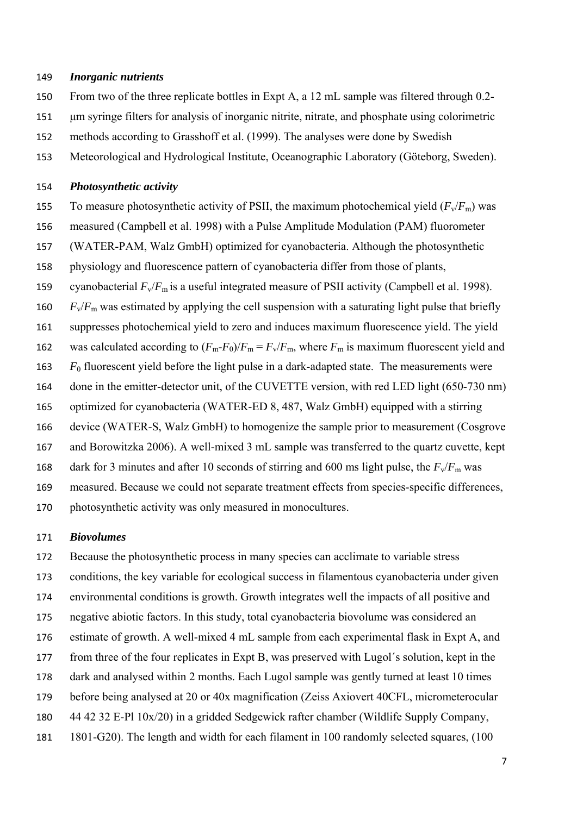#### *Inorganic nutrients*

- From two of the three replicate bottles in Expt A, a 12 mL sample was filtered through 0.2-
- μm syringe filters for analysis of inorganic nitrite, nitrate, and phosphate using colorimetric
- methods according to Grasshoff et al. (1999). The analyses were done by Swedish
- Meteorological and Hydrological Institute, Oceanographic Laboratory (Göteborg, Sweden).

#### *Photosynthetic activity*

- 155 To measure photosynthetic activity of PSII, the maximum photochemical yield  $(F_v/F_m)$  was
- measured (Campbell et al. 1998) with a Pulse Amplitude Modulation (PAM) fluorometer
- (WATER-PAM, Walz GmbH) optimized for cyanobacteria. Although the photosynthetic
- physiology and fluorescence pattern of cyanobacteria differ from those of plants,
- 159 cyanobacterial  $F_v/F_m$  is a useful integrated measure of PSII activity (Campbell et al. 1998).
- 160  $F_v/F_m$  was estimated by applying the cell suspension with a saturating light pulse that briefly
- suppresses photochemical yield to zero and induces maximum fluorescence yield. The yield
- 162 was calculated according to  $(F_m F_0)/F_m = F_v/F_m$ , where  $F_m$  is maximum fluorescent yield and
- *F*0 fluorescent yield before the light pulse in a dark-adapted state. The measurements were
- 164 done in the emitter-detector unit, of the CUVETTE version, with red LED light (650-730 nm)
- optimized for cyanobacteria (WATER-ED 8, 487, Walz GmbH) equipped with a stirring
- device (WATER-S, Walz GmbH) to homogenize the sample prior to measurement (Cosgrove
- and Borowitzka 2006). A well-mixed 3 mL sample was transferred to the quartz cuvette, kept
- 168 dark for 3 minutes and after 10 seconds of stirring and 600 ms light pulse, the  $F_v/F_m$  was
- measured. Because we could not separate treatment effects from species-specific differences,
- photosynthetic activity was only measured in monocultures.

#### *Biovolumes*

 Because the photosynthetic process in many species can acclimate to variable stress conditions, the key variable for ecological success in filamentous cyanobacteria under given environmental conditions is growth. Growth integrates well the impacts of all positive and negative abiotic factors. In this study, total cyanobacteria biovolume was considered an estimate of growth. A well-mixed 4 mL sample from each experimental flask in Expt A, and from three of the four replicates in Expt B, was preserved with Lugol´s solution, kept in the dark and analysed within 2 months. Each Lugol sample was gently turned at least 10 times before being analysed at 20 or 40x magnification (Zeiss Axiovert 40CFL, micrometerocular 44 42 32 E-Pl 10x/20) in a gridded Sedgewick rafter chamber (Wildlife Supply Company, 1801-G20). The length and width for each filament in 100 randomly selected squares, (100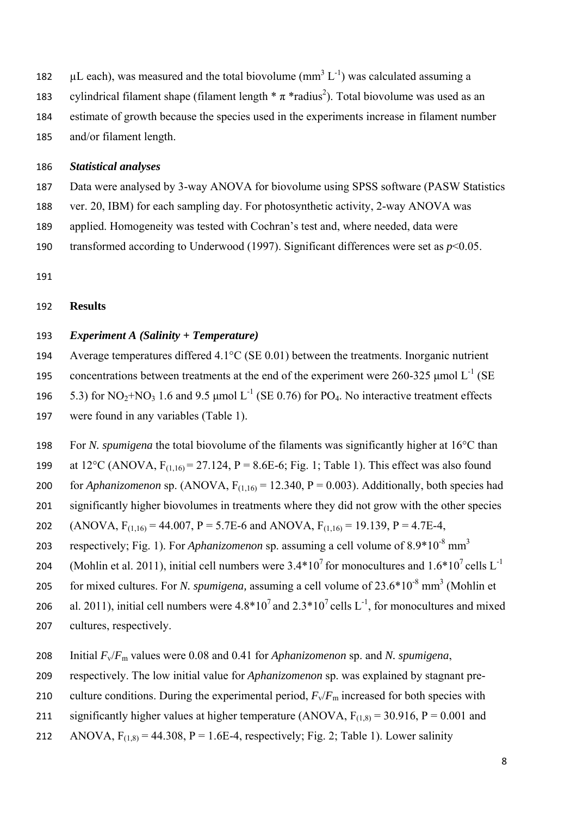- 182  $\mu$ L each), was measured and the total biovolume (mm<sup>3</sup> L<sup>-1</sup>) was calculated assuming a
- 183 cylindrical filament shape (filament length  $*\pi *$ radius<sup>2</sup>). Total biovolume was used as an
- 184 estimate of growth because the species used in the experiments increase in filament number
- 185 and/or filament length.

## 186 *Statistical analyses*

187 Data were analysed by 3-way ANOVA for biovolume using SPSS software (PASW Statistics

- 188 ver. 20, IBM) for each sampling day. For photosynthetic activity, 2-way ANOVA was
- 189 applied. Homogeneity was tested with Cochran's test and, where needed, data were
- 190 transformed according to Underwood (1997). Significant differences were set as  $p<0.05$ .

191

## 192 **Results**

## 193 *Experiment A (Salinity + Temperature)*

194 Average temperatures differed 4.1°C (SE 0.01) between the treatments. Inorganic nutrient concentrations between treatments at the end of the experiment were 260-325 μmol  $L^{-1}$  (SE 196 5.3) for  $NO<sub>2</sub>+NO<sub>3</sub>$  1.6 and 9.5 µmol L<sup>-1</sup> (SE 0.76) for PO<sub>4</sub>. No interactive treatment effects 197 were found in any variables (Table 1).

198 For *N. spumigena* the total biovolume of the filaments was significantly higher at 16°C than

- 199 at  $12^{\circ}$ C (ANOVA, F<sub>(1,16)</sub> = 27,124, P = 8.6E-6; Fig. 1; Table 1). This effect was also found
- 200 for *Aphanizomenon* sp. (ANOVA,  $F_{(1,16)} = 12.340$ ,  $P = 0.003$ ). Additionally, both species had 201 significantly higher biovolumes in treatments where they did not grow with the other species

202 (ANOVA,  $F_{(1,16)} = 44.007$ ,  $P = 5.7E-6$  and ANOVA,  $F_{(1,16)} = 19.139$ ,  $P = 4.7E-4$ ,

- respectively; Fig. 1). For *Aphanizomenon* sp. assuming a cell volume of 8.9\*10-8 mm3 203
- 204 (Mohlin et al. 2011), initial cell numbers were  $3.4*10^7$  for monocultures and  $1.6*10^7$  cells L<sup>-1</sup>
- for mixed cultures. For *N. spumigena*, assuming a cell volume of 23.6\*10<sup>-8</sup> mm<sup>3</sup> (Mohlin et
- 206 al. 2011), initial cell numbers were  $4.8*10^7$  and  $2.3*10^7$  cells L<sup>-1</sup>, for monocultures and mixed 207 cultures, respectively.
- 
- 208 Initial *F*v/*F*m values were 0.08 and 0.41 for *Aphanizomenon* sp. and *N. spumigena*,
- 209 respectively. The low initial value for *Aphanizomenon* sp. was explained by stagnant pre-
- 210 culture conditions. During the experimental period,  $F_v/F_m$  increased for both species with
- 211 significantly higher values at higher temperature (ANOVA,  $F_{(1,8)} = 30.916$ ,  $P = 0.001$  and
- 212 ANOVA,  $F_{(1,8)} = 44.308$ ,  $P = 1.6E-4$ , respectively; Fig. 2; Table 1). Lower salinity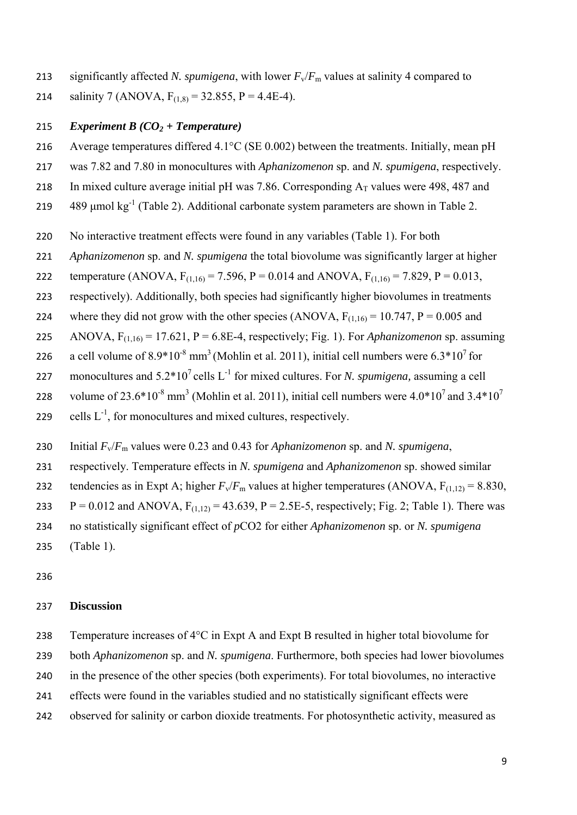213 significantly affected *N. spumigena*, with lower  $F_v/F_m$  values at salinity 4 compared to

214 salinity 7 (ANOVA,  $F_{(1,8)} = 32.855$ , P = 4.4E-4).

## *Experiment B (CO2 + Temperature)*

- Average temperatures differed 4.1°C (SE 0.002) between the treatments. Initially, mean pH
- was 7.82 and 7.80 in monocultures with *Aphanizomenon* sp. and *N. spumigena*, respectively.
- 218 In mixed culture average initial pH was 7.86. Corresponding  $A_T$  values were 498, 487 and
- μmol kg<sup>-1</sup> (Table 2). Additional carbonate system parameters are shown in Table 2.
- No interactive treatment effects were found in any variables (Table 1). For both
- *Aphanizomenon* sp. and *N. spumigena* the total biovolume was significantly larger at higher
- 222 temperature (ANOVA,  $F_{(1,16)} = 7.596$ , P = 0.014 and ANOVA,  $F_{(1,16)} = 7.829$ , P = 0.013,
- respectively). Additionally, both species had significantly higher biovolumes in treatments
- 224 where they did not grow with the other species (ANOVA,  $F_{(1,16)} = 10.747$ ,  $P = 0.005$  and
- 225 ANOVA,  $F_{(1,16)} = 17.621$ ,  $P = 6.8E-4$ , respectively; Fig. 1). For *Aphanizomenon* sp. assuming
- 226 a cell volume of  $8.9*10<sup>-8</sup>$  mm<sup>3</sup> (Mohlin et al. 2011), initial cell numbers were  $6.3*10<sup>7</sup>$  for
- 227 monocultures and  $5.2*10^7$  cells  $L^{-1}$  for mixed cultures. For *N. spumigena*, assuming a cell
- 228 volume of 23.6\*10<sup>-8</sup> mm<sup>3</sup> (Mohlin et al. 2011), initial cell numbers were 4.0\*10<sup>7</sup> and 3.4\*10<sup>7</sup>
- 229 cells  $L^{-1}$ , for monocultures and mixed cultures, respectively.
- Initial *F*v/*F*m values were 0.23 and 0.43 for *Aphanizomenon* sp. and *N. spumigena*,
- respectively. Temperature effects in *N. spumigena* and *Aphanizomenon* sp. showed similar
- 232 tendencies as in Expt A; higher  $F_v/F_m$  values at higher temperatures (ANOVA,  $F_{(1,12)} = 8.830$ ,
- 233  $P = 0.012$  and ANOVA,  $F_{(1,12)} = 43.639$ ,  $P = 2.5E-5$ , respectively; Fig. 2; Table 1). There was
- no statistically significant effect of *p*CO2 for either *Aphanizomenon* sp. or *N. spumigena*
- (Table 1).
- 

## **Discussion**

Temperature increases of 4°C in Expt A and Expt B resulted in higher total biovolume for

- both *Aphanizomenon* sp. and *N. spumigena*. Furthermore, both species had lower biovolumes
- in the presence of the other species (both experiments). For total biovolumes, no interactive
- effects were found in the variables studied and no statistically significant effects were
- observed for salinity or carbon dioxide treatments. For photosynthetic activity, measured as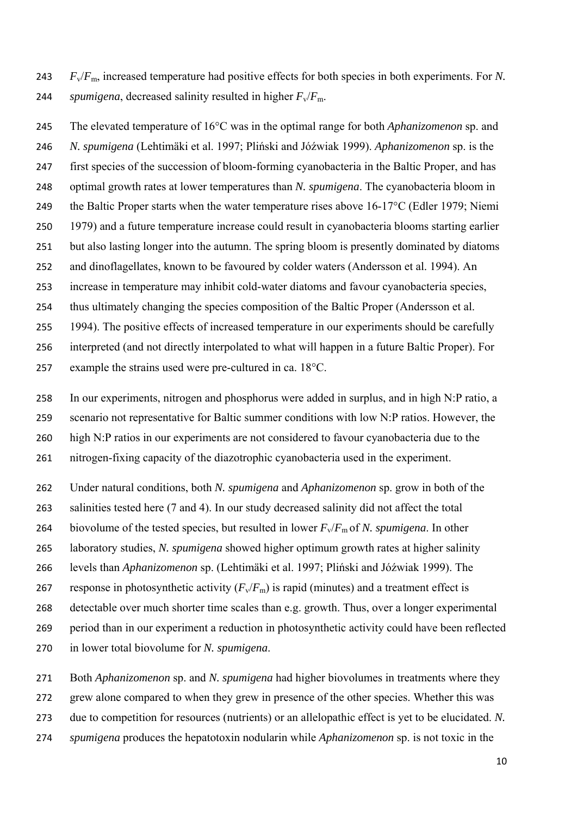*F*v/*F*m, increased temperature had positive effects for both species in both experiments. For *N.*  244 *spumigena*, decreased salinity resulted in higher  $F_v/F_m$ .

 The elevated temperature of 16°C was in the optimal range for both *Aphanizomenon* sp. and *N. spumigena* (Lehtimäki et al. 1997; Pliński and Jόźwiak 1999). *Aphanizomenon* sp. is the first species of the succession of bloom-forming cyanobacteria in the Baltic Proper, and has optimal growth rates at lower temperatures than *N. spumigena*. The cyanobacteria bloom in 249 the Baltic Proper starts when the water temperature rises above 16-17<sup>o</sup>C (Edler 1979; Niemi 1979) and a future temperature increase could result in cyanobacteria blooms starting earlier but also lasting longer into the autumn. The spring bloom is presently dominated by diatoms and dinoflagellates, known to be favoured by colder waters (Andersson et al. 1994). An increase in temperature may inhibit cold-water diatoms and favour cyanobacteria species, thus ultimately changing the species composition of the Baltic Proper (Andersson et al. 1994). The positive effects of increased temperature in our experiments should be carefully interpreted (and not directly interpolated to what will happen in a future Baltic Proper). For 257 example the strains used were pre-cultured in ca.  $18^{\circ}$ C.

 In our experiments, nitrogen and phosphorus were added in surplus, and in high N:P ratio, a scenario not representative for Baltic summer conditions with low N:P ratios. However, the high N:P ratios in our experiments are not considered to favour cyanobacteria due to the

nitrogen-fixing capacity of the diazotrophic cyanobacteria used in the experiment.

Under natural conditions, both *N. spumigena* and *Aphanizomenon* sp. grow in both of the

salinities tested here (7 and 4). In our study decreased salinity did not affect the total

264 biovolume of the tested species, but resulted in lower  $F_v/F_m$  of *N. spumigena*. In other

laboratory studies, *N. spumigena* showed higher optimum growth rates at higher salinity

levels than *Aphanizomenon* sp. (Lehtimäki et al. 1997; Pliński and Jόźwiak 1999). The

267 response in photosynthetic activity  $(F_v/F_m)$  is rapid (minutes) and a treatment effect is

detectable over much shorter time scales than e.g. growth. Thus, over a longer experimental

- period than in our experiment a reduction in photosynthetic activity could have been reflected
- in lower total biovolume for *N. spumigena*.

Both *Aphanizomenon* sp. and *N. spumigena* had higher biovolumes in treatments where they

grew alone compared to when they grew in presence of the other species. Whether this was

due to competition for resources (nutrients) or an allelopathic effect is yet to be elucidated. *N.* 

*spumigena* produces the hepatotoxin nodularin while *Aphanizomenon* sp. is not toxic in the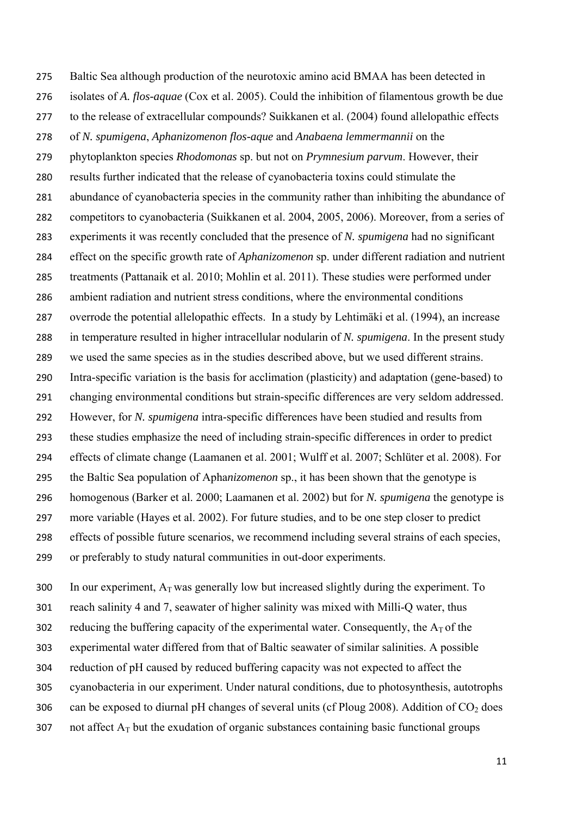Baltic Sea although production of the neurotoxic amino acid BMAA has been detected in isolates of *A. flos-aquae* (Cox et al. 2005). Could the inhibition of filamentous growth be due to the release of extracellular compounds? Suikkanen et al. (2004) found allelopathic effects of *N. spumigena*, *Aphanizomenon flos-aque* and *Anabaena lemmermannii* on the phytoplankton species *Rhodomonas* sp. but not on *Prymnesium parvum*. However, their results further indicated that the release of cyanobacteria toxins could stimulate the abundance of cyanobacteria species in the community rather than inhibiting the abundance of competitors to cyanobacteria (Suikkanen et al. 2004, 2005, 2006). Moreover, from a series of experiments it was recently concluded that the presence of *N. spumigena* had no significant effect on the specific growth rate of *Aphanizomenon* sp. under different radiation and nutrient treatments (Pattanaik et al. 2010; Mohlin et al. 2011). These studies were performed under ambient radiation and nutrient stress conditions, where the environmental conditions overrode the potential allelopathic effects. In a study by Lehtimäki et al. (1994), an increase in temperature resulted in higher intracellular nodularin of *N. spumigena*. In the present study we used the same species as in the studies described above, but we used different strains. Intra-specific variation is the basis for acclimation (plasticity) and adaptation (gene-based) to changing environmental conditions but strain-specific differences are very seldom addressed. However, for *N. spumigena* intra-specific differences have been studied and results from these studies emphasize the need of including strain-specific differences in order to predict effects of climate change (Laamanen et al. 2001; Wulff et al. 2007; Schlüter et al. 2008). For the Baltic Sea population of Apha*nizomenon* sp., it has been shown that the genotype is homogenous (Barker et al. 2000; Laamanen et al. 2002) but for *N. spumigena* the genotype is more variable (Hayes et al. 2002). For future studies, and to be one step closer to predict effects of possible future scenarios, we recommend including several strains of each species, or preferably to study natural communities in out-door experiments.

300 In our experiment,  $A_T$  was generally low but increased slightly during the experiment. To reach salinity 4 and 7, seawater of higher salinity was mixed with Milli-Q water, thus 302 reducing the buffering capacity of the experimental water. Consequently, the  $A_T$  of the experimental water differed from that of Baltic seawater of similar salinities. A possible reduction of pH caused by reduced buffering capacity was not expected to affect the cyanobacteria in our experiment. Under natural conditions, due to photosynthesis, autotrophs 306 can be exposed to diurnal pH changes of several units (cf Ploug 2008). Addition of  $CO<sub>2</sub>$  does 307 not affect  $A_T$  but the exudation of organic substances containing basic functional groups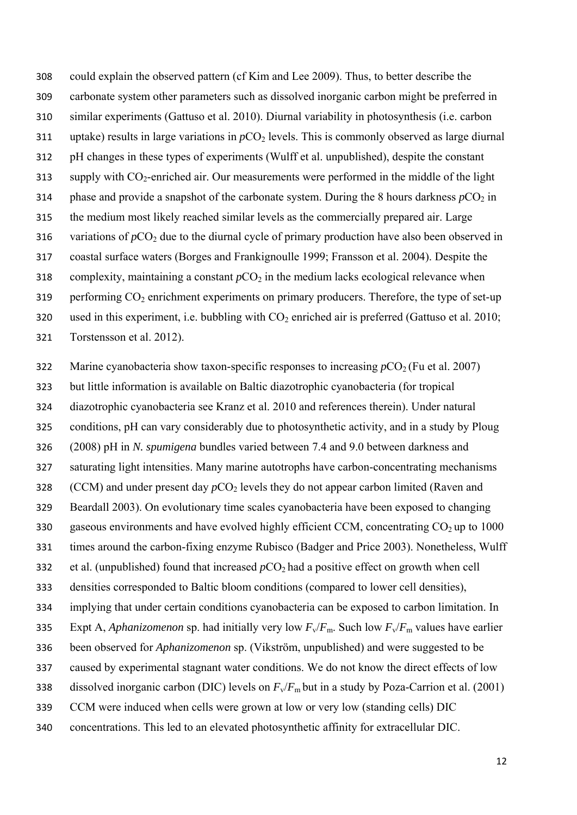could explain the observed pattern (cf Kim and Lee 2009). Thus, to better describe the carbonate system other parameters such as dissolved inorganic carbon might be preferred in similar experiments (Gattuso et al. 2010). Diurnal variability in photosynthesis (i.e. carbon 311 uptake) results in large variations in  $pCO<sub>2</sub>$  levels. This is commonly observed as large diurnal pH changes in these types of experiments (Wulff et al. unpublished), despite the constant supply with CO<sub>2</sub>-enriched air. Our measurements were performed in the middle of the light 314 phase and provide a snapshot of the carbonate system. During the 8 hours darkness  $pCO<sub>2</sub>$  in the medium most likely reached similar levels as the commercially prepared air. Large 316 variations of  $pCO_2$  due to the diurnal cycle of primary production have also been observed in coastal surface waters (Borges and Frankignoulle 1999; Fransson et al. 2004). Despite the 318 complexity, maintaining a constant  $pCO_2$  in the medium lacks ecological relevance when 319 performing  $CO<sub>2</sub>$  enrichment experiments on primary producers. Therefore, the type of set-up 320 used in this experiment, i.e. bubbling with  $CO<sub>2</sub>$  enriched air is preferred (Gattuso et al. 2010; Torstensson et al. 2012).

322 Marine cyanobacteria show taxon-specific responses to increasing  $pCO<sub>2</sub>$  (Fu et al. 2007)

but little information is available on Baltic diazotrophic cyanobacteria (for tropical

diazotrophic cyanobacteria see Kranz et al. 2010 and references therein). Under natural

conditions, pH can vary considerably due to photosynthetic activity, and in a study by Ploug

(2008) pH in *N. spumigena* bundles varied between 7.4 and 9.0 between darkness and

saturating light intensities. Many marine autotrophs have carbon-concentrating mechanisms

328 (CCM) and under present day  $pCO_2$  levels they do not appear carbon limited (Raven and

Beardall 2003). On evolutionary time scales cyanobacteria have been exposed to changing

330 gaseous environments and have evolved highly efficient CCM, concentrating  $CO<sub>2</sub>$  up to 1000

times around the carbon-fixing enzyme Rubisco (Badger and Price 2003). Nonetheless, Wulff

332 et al. (unpublished) found that increased  $pCO<sub>2</sub>$  had a positive effect on growth when cell

densities corresponded to Baltic bloom conditions (compared to lower cell densities),

implying that under certain conditions cyanobacteria can be exposed to carbon limitation. In

335 Expt A, *Aphanizomenon* sp. had initially very low  $F_v/F_m$ . Such low  $F_v/F_m$  values have earlier

been observed for *Aphanizomenon* sp. (Vikström, unpublished) and were suggested to be

caused by experimental stagnant water conditions. We do not know the direct effects of low

dissolved inorganic carbon (DIC) levels on *F*v/*F*m but in a study by Poza-Carrion et al. (2001)

CCM were induced when cells were grown at low or very low (standing cells) DIC

concentrations. This led to an elevated photosynthetic affinity for extracellular DIC.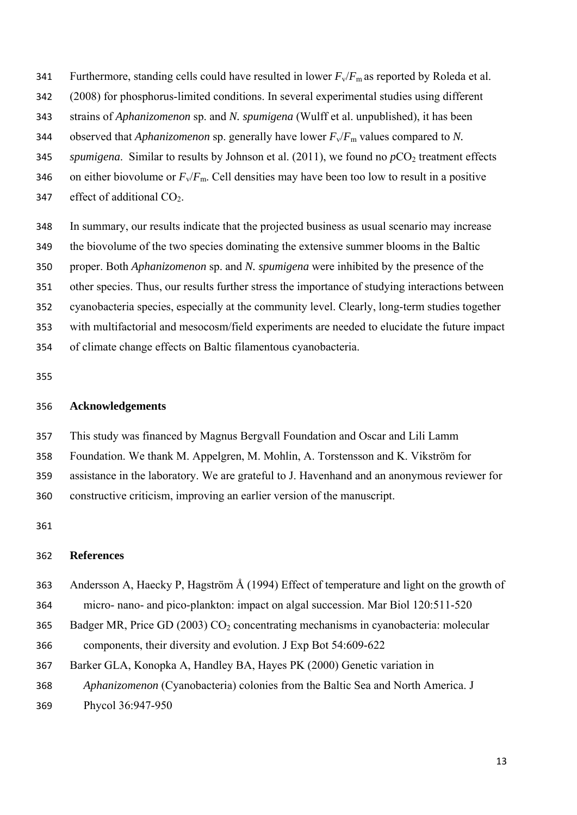- 341 Furthermore, standing cells could have resulted in lower  $F_v/F_m$  as reported by Roleda et al.
- (2008) for phosphorus-limited conditions. In several experimental studies using different
- strains of *Aphanizomenon* sp. and *N. spumigena* (Wulff et al. unpublished), it has been
- observed that *Aphanizomenon* sp. generally have lower *F*v/*F*m values compared to *N.*
- 345 *spumigena*. Similar to results by Johnson et al. (2011), we found no  $pCO<sub>2</sub>$  treatment effects
- 346 on either biovolume or  $F_v/F_m$ . Cell densities may have been too low to result in a positive

347 effect of additional  $CO<sub>2</sub>$ .

- In summary, our results indicate that the projected business as usual scenario may increase
- the biovolume of the two species dominating the extensive summer blooms in the Baltic
- proper. Both *Aphanizomenon* sp. and *N. spumigena* were inhibited by the presence of the
- other species. Thus, our results further stress the importance of studying interactions between
- cyanobacteria species, especially at the community level. Clearly, long-term studies together
- with multifactorial and mesocosm/field experiments are needed to elucidate the future impact
- of climate change effects on Baltic filamentous cyanobacteria.

### **Acknowledgements**

- This study was financed by Magnus Bergvall Foundation and Oscar and Lili Lamm
- Foundation. We thank M. Appelgren, M. Mohlin, A. Torstensson and K. Vikström for
- assistance in the laboratory. We are grateful to J. Havenhand and an anonymous reviewer for constructive criticism, improving an earlier version of the manuscript.

#### **References**

- Andersson A, Haecky P, Hagström Å (1994) Effect of temperature and light on the growth of
- micro- nano- and pico-plankton: impact on algal succession. Mar Biol 120:511-520
- 365 Badger MR, Price GD (2003)  $CO<sub>2</sub>$  concentrating mechanisms in cyanobacteria: molecular
- components, their diversity and evolution. J Exp Bot 54:609-622
- Barker GLA, Konopka A, Handley BA, Hayes PK (2000) Genetic variation in
- *Aphanizomenon* (Cyanobacteria) colonies from the Baltic Sea and North America. J
- Phycol 36:947-950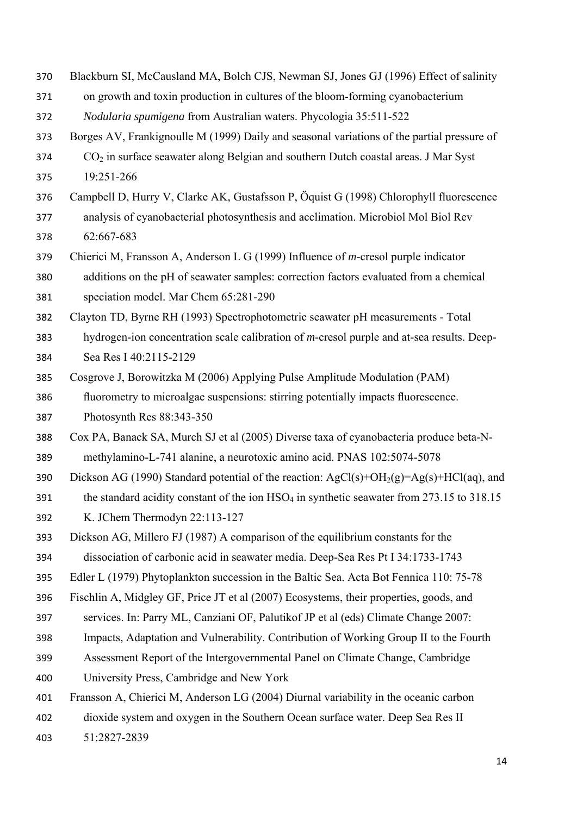- Blackburn SI, McCausland MA, Bolch CJS, Newman SJ, Jones GJ (1996) Effect of salinity
- on growth and toxin production in cultures of the bloom-forming cyanobacterium
- *Nodularia spumigena* from Australian waters. Phycologia 35:511-522
- Borges AV, Frankignoulle M (1999) Daily and seasonal variations of the partial pressure of
- CO2 in surface seawater along Belgian and southern Dutch coastal areas. J Mar Syst 19:251-266
- Campbell D, Hurry V, Clarke AK, Gustafsson P, Öquist G (1998) Chlorophyll fluorescence
- analysis of cyanobacterial photosynthesis and acclimation. Microbiol Mol Biol Rev 62:667-683
- Chierici M, Fransson A, Anderson L G (1999) Influence of *m*-cresol purple indicator additions on the pH of seawater samples: correction factors evaluated from a chemical speciation model. Mar Chem 65:281-290
- Clayton TD, Byrne RH (1993) Spectrophotometric seawater pH measurements Total
- hydrogen-ion concentration scale calibration of *m*-cresol purple and at-sea results. Deep-Sea Res I 40:2115-2129
- Cosgrove J, Borowitzka M (2006) Applying Pulse Amplitude Modulation (PAM) fluorometry to microalgae suspensions: stirring potentially impacts fluorescence. Photosynth Res 88:343-350
- Cox PA, Banack SA, Murch SJ et al (2005) Diverse taxa of cyanobacteria produce beta-N-
- methylamino-L-741 alanine, a neurotoxic amino acid. PNAS 102:5074-5078
- 390 Dickson AG (1990) Standard potential of the reaction:  $AgCl(s)+OH<sub>2</sub>(g)=Ag(s)+HCl(aq)$ , and
- 391 the standard acidity constant of the ion HSO<sub>4</sub> in synthetic seawater from 273.15 to 318.15 K. JChem Thermodyn 22:113-127
- Dickson AG, Millero FJ (1987) A comparison of the equilibrium constants for the
- dissociation of carbonic acid in seawater media. Deep-Sea Res Pt I 34:1733-1743
- Edler L (1979) Phytoplankton succession in the Baltic Sea. Acta Bot Fennica 110: 75-78
- Fischlin A, Midgley GF, Price JT et al (2007) Ecosystems, their properties, goods, and
- services. In: Parry ML, Canziani OF, Palutikof JP et al (eds) Climate Change 2007:
- Impacts, Adaptation and Vulnerability. Contribution of Working Group II to the Fourth
- Assessment Report of the Intergovernmental Panel on Climate Change, Cambridge
- University Press, Cambridge and New York
- Fransson A, Chierici M, Anderson LG (2004) Diurnal variability in the oceanic carbon
- dioxide system and oxygen in the Southern Ocean surface water. Deep Sea Res II
- 51:2827-2839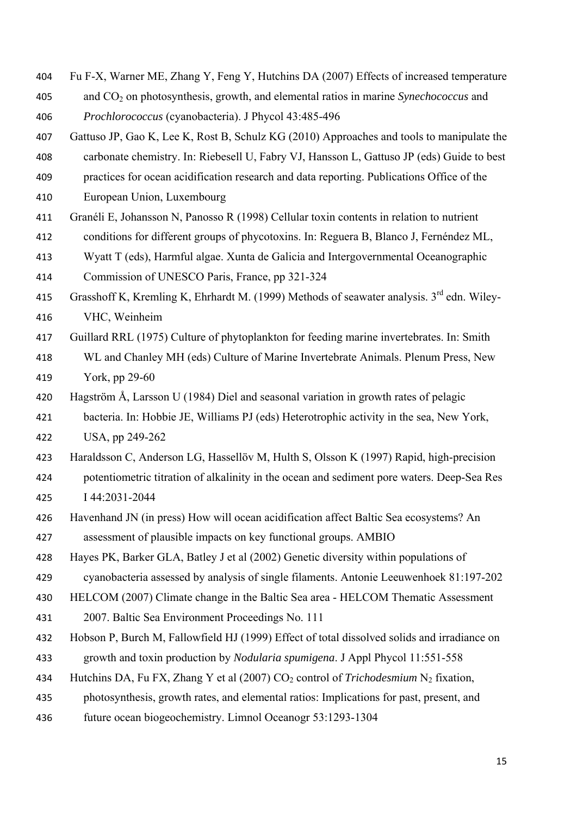- Fu F-X, Warner ME, Zhang Y, Feng Y, Hutchins DA (2007) Effects of increased temperature
- and CO2 on photosynthesis, growth, and elemental ratios in marine *Synechococcus* and *Prochlorococcus* (cyanobacteria). J Phycol 43:485-496
- Gattuso JP, Gao K, Lee K, Rost B, Schulz KG (2010) Approaches and tools to manipulate the

carbonate chemistry. In: Riebesell U, Fabry VJ, Hansson L, Gattuso JP (eds) Guide to best

- practices for ocean acidification research and data reporting. Publications Office of the
- European Union, Luxembourg
- Granéli E, Johansson N, Panosso R (1998) Cellular toxin contents in relation to nutrient
- conditions for different groups of phycotoxins. In: Reguera B, Blanco J, Fernéndez ML,
- Wyatt T (eds), Harmful algae. Xunta de Galicia and Intergovernmental Oceanographic Commission of UNESCO Paris, France, pp 321-324
- 415 Grasshoff K, Kremling K, Ehrhardt M. (1999) Methods of seawater analysis.  $3<sup>rd</sup>$  edn. Wiley-VHC, Weinheim
- Guillard RRL (1975) Culture of phytoplankton for feeding marine invertebrates. In: Smith
- WL and Chanley MH (eds) Culture of Marine Invertebrate Animals. Plenum Press, New York, pp 29-60
- Hagström Å, Larsson U (1984) Diel and seasonal variation in growth rates of pelagic
- bacteria. In: Hobbie JE, Williams PJ (eds) Heterotrophic activity in the sea, New York, USA, pp 249-262
- Haraldsson C, Anderson LG, Hassellöv M, Hulth S, Olsson K (1997) Rapid, high-precision
- potentiometric titration of alkalinity in the ocean and sediment pore waters. Deep-Sea Res I 44:2031-2044
- Havenhand JN (in press) How will ocean acidification affect Baltic Sea ecosystems? An

assessment of plausible impacts on key functional groups. AMBIO

Hayes PK, Barker GLA, Batley J et al (2002) Genetic diversity within populations of

cyanobacteria assessed by analysis of single filaments. Antonie Leeuwenhoek 81:197-202

- HELCOM (2007) Climate change in the Baltic Sea area HELCOM Thematic Assessment
- 2007. Baltic Sea Environment Proceedings No. 111
- Hobson P, Burch M, Fallowfield HJ (1999) Effect of total dissolved solids and irradiance on growth and toxin production by *Nodularia spumigena*. J Appl Phycol 11:551-558
- 434 Hutchins DA, Fu FX, Zhang Y et al (2007) CO<sub>2</sub> control of *Trichodesmium* N<sub>2</sub> fixation,
- photosynthesis, growth rates, and elemental ratios: Implications for past, present, and
- future ocean biogeochemistry. Limnol Oceanogr 53:1293-1304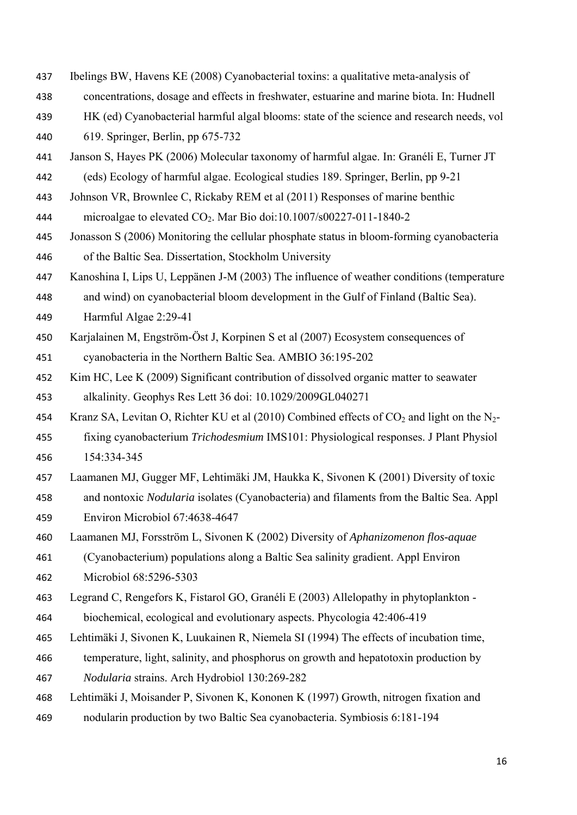- Ibelings BW, Havens KE (2008) Cyanobacterial toxins: a qualitative meta-analysis of
- concentrations, dosage and effects in freshwater, estuarine and marine biota. In: Hudnell
- HK (ed) Cyanobacterial harmful algal blooms: state of the science and research needs, vol 619. Springer, Berlin, pp 675-732

Janson S, Hayes PK (2006) Molecular taxonomy of harmful algae. In: Granéli E, Turner JT

(eds) Ecology of harmful algae. Ecological studies 189. Springer, Berlin, pp 9-21

Johnson VR, Brownlee C, Rickaby REM et al (2011) Responses of marine benthic

microalgae to elevated CO2. Mar Bio doi:10.1007/s00227-011-1840-2

- Jonasson S (2006) Monitoring the cellular phosphate status in bloom-forming cyanobacteria of the Baltic Sea. Dissertation, Stockholm University
- Kanoshina I, Lips U, Leppänen J-M (2003) The influence of weather conditions (temperature

 and wind) on cyanobacterial bloom development in the Gulf of Finland (Baltic Sea). Harmful Algae 2:29-41

- Karjalainen M, Engström-Öst J, Korpinen S et al (2007) Ecosystem consequences of cyanobacteria in the Northern Baltic Sea. AMBIO 36:195-202
- Kim HC, Lee K (2009) Significant contribution of dissolved organic matter to seawater alkalinity. Geophys Res Lett 36 doi: 10.1029/2009GL040271

454 Kranz SA, Levitan O, Richter KU et al (2010) Combined effects of  $CO_2$  and light on the N<sub>2</sub>-

- fixing cyanobacterium *Trichodesmium* IMS101: Physiological responses. J Plant Physiol 154:334-345
- Laamanen MJ, Gugger MF, Lehtimäki JM, Haukka K, Sivonen K (2001) Diversity of toxic and nontoxic *Nodularia* isolates (Cyanobacteria) and filaments from the Baltic Sea. Appl Environ Microbiol 67:4638-4647
- Laamanen MJ, Forsström L, Sivonen K (2002) Diversity of *Aphanizomenon flos-aquae*

 (Cyanobacterium) populations along a Baltic Sea salinity gradient. Appl Environ Microbiol 68:5296-5303

Legrand C, Rengefors K, Fistarol GO, Granéli E (2003) Allelopathy in phytoplankton -

biochemical, ecological and evolutionary aspects. Phycologia 42:406-419

- Lehtimäki J, Sivonen K, Luukainen R, Niemela SI (1994) The effects of incubation time,
- temperature, light, salinity, and phosphorus on growth and hepatotoxin production by *Nodularia* strains. Arch Hydrobiol 130:269-282
- Lehtimäki J, Moisander P, Sivonen K, Kononen K (1997) Growth, nitrogen fixation and nodularin production by two Baltic Sea cyanobacteria. Symbiosis 6:181-194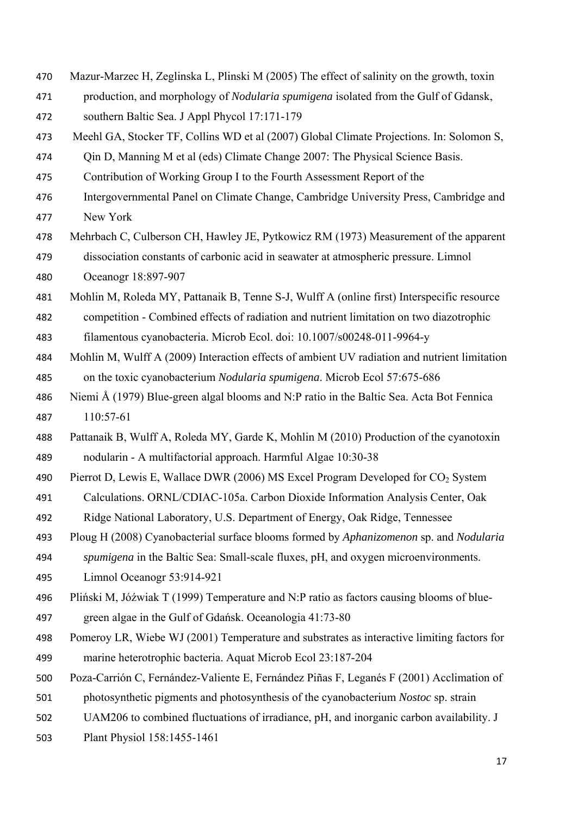Mazur-Marzec H, Zeglinska L, Plinski M (2005) The effect of salinity on the growth, toxin production, and morphology of *Nodularia spumigena* isolated from the Gulf of Gdansk, southern Baltic Sea. J Appl Phycol 17:171-179 Meehl GA, Stocker TF, Collins WD et al (2007) Global Climate Projections. In: Solomon S, Qin D, Manning M et al (eds) Climate Change 2007: The Physical Science Basis. Contribution of Working Group I to the Fourth Assessment Report of the Intergovernmental Panel on Climate Change, Cambridge University Press, Cambridge and New York Mehrbach C, Culberson CH, Hawley JE, Pytkowicz RM (1973) Measurement of the apparent dissociation constants of carbonic acid in seawater at atmospheric pressure. Limnol Oceanogr 18:897-907 Mohlin M, Roleda MY, Pattanaik B, Tenne S-J, Wulff A (online first) Interspecific resource competition - Combined effects of radiation and nutrient limitation on two diazotrophic filamentous cyanobacteria. Microb Ecol. doi: 10.1007/s00248-011-9964-y Mohlin M, Wulff A (2009) Interaction effects of ambient UV radiation and nutrient limitation on the toxic cyanobacterium *Nodularia spumigena*. Microb Ecol 57:675-686 Niemi Å (1979) Blue-green algal blooms and N:P ratio in the Baltic Sea. Acta Bot Fennica 110:57-61 Pattanaik B, Wulff A, Roleda MY, Garde K, Mohlin M (2010) Production of the cyanotoxin nodularin - A multifactorial approach. Harmful Algae 10:30-38 490 Pierrot D, Lewis E, Wallace DWR (2006) MS Excel Program Developed for  $CO<sub>2</sub>$  System Calculations. ORNL/CDIAC-105a. Carbon Dioxide Information Analysis Center, Oak Ridge National Laboratory, U.S. Department of Energy, Oak Ridge, Tennessee Ploug H (2008) Cyanobacterial surface blooms formed by *Aphanizomenon* sp. and *Nodularia spumigena* in the Baltic Sea: Small-scale fluxes, pH, and oxygen microenvironments. Limnol Oceanogr 53:914-921 Pliński M, Jόźwiak T (1999) Temperature and N:P ratio as factors causing blooms of blue- green algae in the Gulf of Gdańsk. Oceanologia 41:73-80 Pomeroy LR, Wiebe WJ (2001) Temperature and substrates as interactive limiting factors for marine heterotrophic bacteria. Aquat Microb Ecol 23:187-204 Poza-Carrión C, Fernández-Valiente E, Fernández Piñas F, Leganés F (2001) Acclimation of photosynthetic pigments and photosynthesis of the cyanobacterium *Nostoc* sp. strain UAM206 to combined fluctuations of irradiance, pH, and inorganic carbon availability. J Plant Physiol 158:1455-1461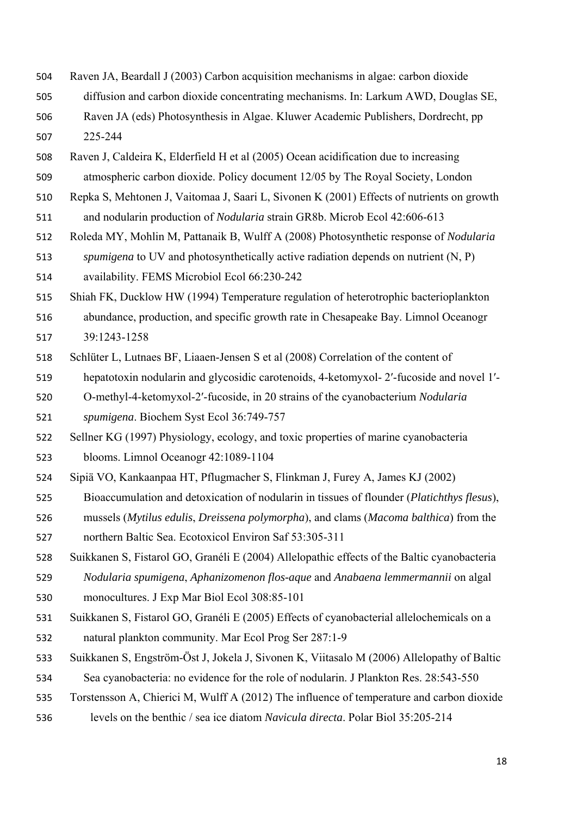- Raven JA, Beardall J (2003) Carbon acquisition mechanisms in algae: carbon dioxide
- diffusion and carbon dioxide concentrating mechanisms. In: Larkum AWD, Douglas SE,
- Raven JA (eds) Photosynthesis in Algae. Kluwer Academic Publishers, Dordrecht, pp 225-244
- Raven J, Caldeira K, Elderfield H et al (2005) Ocean acidification due to increasing
- atmospheric carbon dioxide. Policy document 12/05 by The Royal Society, London
- Repka S, Mehtonen J, Vaitomaa J, Saari L, Sivonen K (2001) Effects of nutrients on growth
- and nodularin production of *Nodularia* strain GR8b. Microb Ecol 42:606-613
- Roleda MY, Mohlin M, Pattanaik B, Wulff A (2008) Photosynthetic response of *Nodularia spumigena* to UV and photosynthetically active radiation depends on nutrient (N, P)
- availability. FEMS Microbiol Ecol 66:230-242
- Shiah FK, Ducklow HW (1994) Temperature regulation of heterotrophic bacterioplankton
- abundance, production, and specific growth rate in Chesapeake Bay. Limnol Oceanogr 39:1243-1258
- Schlüter L, Lutnaes BF, Liaaen-Jensen S et al (2008) Correlation of the content of
- hepatotoxin nodularin and glycosidic carotenoids, 4-ketomyxol- 2′-fucoside and novel 1′-
- O-methyl-4-ketomyxol-2′-fucoside, in 20 strains of the cyanobacterium *Nodularia spumigena*. Biochem Syst Ecol 36:749-757
- Sellner KG (1997) Physiology, ecology, and toxic properties of marine cyanobacteria
- blooms. Limnol Oceanogr 42:1089-1104
- Sipiä VO, Kankaanpaa HT, Pflugmacher S, Flinkman J, Furey A, James KJ (2002)
- Bioaccumulation and detoxication of nodularin in tissues of flounder (*Platichthys flesus*),
- mussels (*Mytilus edulis*, *Dreissena polymorpha*), and clams (*Macoma balthica*) from the
- northern Baltic Sea. Ecotoxicol Environ Saf 53:305-311
- Suikkanen S, Fistarol GO, Granéli E (2004) Allelopathic effects of the Baltic cyanobacteria
- *Nodularia spumigena*, *Aphanizomenon flos-aque* and *Anabaena lemmermannii* on algal monocultures. J Exp Mar Biol Ecol 308:85-101
- Suikkanen S, Fistarol GO, Granéli E (2005) Effects of cyanobacterial allelochemicals on a natural plankton community. Mar Ecol Prog Ser 287:1-9
- Suikkanen S, Engström-Öst J, Jokela J, Sivonen K, Viitasalo M (2006) Allelopathy of Baltic
- Sea cyanobacteria: no evidence for the role of nodularin. J Plankton Res. 28:543-550
- Torstensson A, Chierici M, Wulff A (2012) The influence of temperature and carbon dioxide
- levels on the benthic / sea ice diatom *Navicula directa*. Polar Biol 35:205-214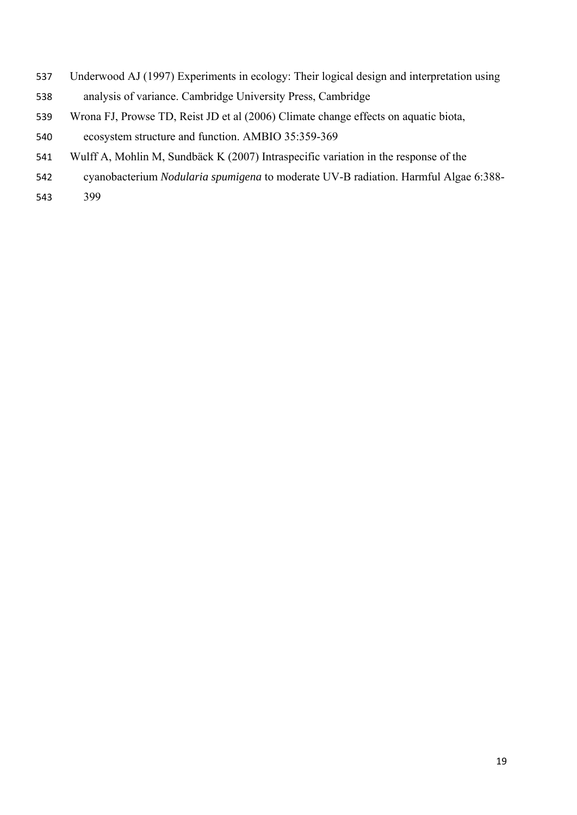- Underwood AJ (1997) Experiments in ecology: Their logical design and interpretation using
- analysis of variance. Cambridge University Press, Cambridge
- Wrona FJ, Prowse TD, Reist JD et al (2006) Climate change effects on aquatic biota,
- ecosystem structure and function. AMBIO 35:359-369
- Wulff A, Mohlin M, Sundbäck K (2007) Intraspecific variation in the response of the
- cyanobacterium *Nodularia spumigena* to moderate UV-B radiation. Harmful Algae 6:388-
- 399